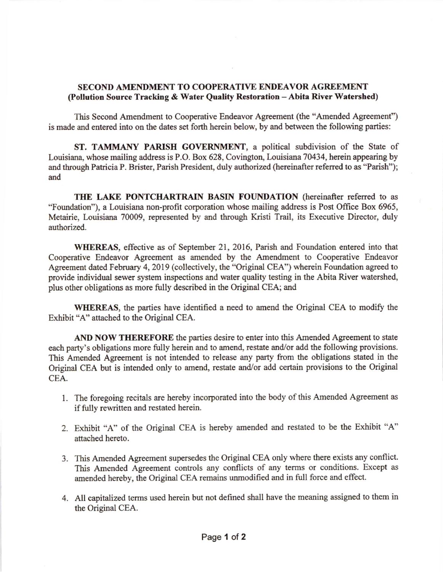## SECOND AMENDMENT TO COOPERATIVE ENDEAVOR AGREEMENT (Pollution Source Tracking & Water Quality Restoration - Abita River Watershed)

This Second Amendment to Cooperative Endeavor Agreement (rhe "Amended Agreement") is made and entered into on the dates set forth herein below, by and between the following panies:

ST. TAMMANY PARISH GOVERNMENT, a political subdivision of the State of Louisiana, whose mailing address is P.O. Box 628, Covington, Louisiana 70434, herein appearing by and through Patricia P. Brister, Parish President, duly authorized (hereinafter referred to as "Parish"); and

THE LAKE PONTCHARTRAIN BASIN FOUNDATION (hereinafter referred to as "Foundation"), a Louisiana non-profit corporation whose mailing address is Post Office Box 6965, Metairie, Louisiana 70009, represented by and through Kristi Trail, its Executive Director, duly authorized.

WHEREAS, effective as of September 21, 2016, Parish and Foundation entered into that Cooperative Endeavor Agreement as amended by the Amendment to Cooperative Endeavor Agreement dated February 4,2019 (collectively, the "Original CEA") wherein Foundation agreed to provide individual sewer system inspections and water quality testing in the Abita River watershed, plus other obligations as more fully described in the Original CEA; and

WHEREAS, the parties have identified a need to amend the Original CEA to modify the Exhibit "A" attached to the Original CEA.

AND NOW THEREFORE the parties desire to enter into this Amended Agreement to state each party's obligations more fully herein and to amend, restate and/or add the following provisions. This Amended Agreement is not intended 1o release any party from the obligations stated in the Original CEA but is intended only to amend, restate and/or add certain provisions to the Original CEA.

- 1. The foregoing recitals are hereby incorporated into the body of this Amended Agreement as if fully rewritten and restated herein.
- 2. Exhibit 'A" of the Original CEA is hereby arnended and restated to be the Exhibit "A" attached hereto.
- 3. This Amended Agreement supersedes the Original CEA only where there exists any conflict. This Amended Agreement controls any conflicts of any terms or conditions. Except as amended hereby, the Original CEA remains unmodified and in full force and effect.
- 4. All capitalized terms used herein but not defined shall have the meaning assigned to them in the Original CEA.